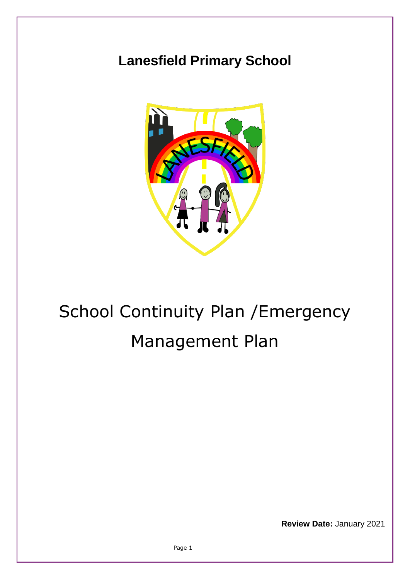## **Lanesfield Primary School**



## School Continuity Plan /Emergency Management Plan

**Review Date:** January 2021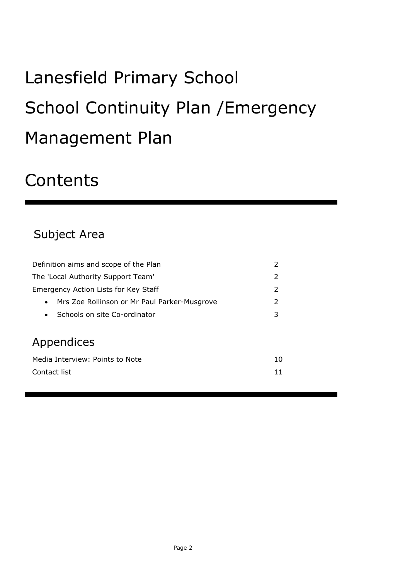# Lanesfield Primary School School Continuity Plan /Emergency Management Plan

## **Contents**

## Subject Area

| The 'Local Authority Support Team'<br>2               |  |  |  |
|-------------------------------------------------------|--|--|--|
| $\mathcal{P}$<br>Emergency Action Lists for Key Staff |  |  |  |
| 2<br>Mrs Zoe Rollinson or Mr Paul Parker-Musgrove     |  |  |  |
| 3<br>Schools on site Co-ordinator<br>$\bullet$        |  |  |  |
|                                                       |  |  |  |
| Appendices                                            |  |  |  |
| Media Interview: Points to Note<br>10                 |  |  |  |
| Contact list<br>11                                    |  |  |  |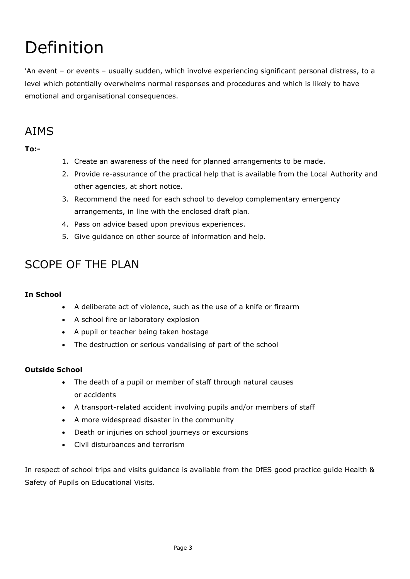## Definition

'An event – or events – usually sudden, which involve experiencing significant personal distress, to a level which potentially overwhelms normal responses and procedures and which is likely to have emotional and organisational consequences.

## AIMS

**To:-**

- 1. Create an awareness of the need for planned arrangements to be made.
- 2. Provide re-assurance of the practical help that is available from the Local Authority and other agencies, at short notice.
- 3. Recommend the need for each school to develop complementary emergency arrangements, in line with the enclosed draft plan.
- 4. Pass on advice based upon previous experiences.
- 5. Give guidance on other source of information and help.

## SCOPE OF THE PLAN

#### **In School**

- A deliberate act of violence, such as the use of a knife or firearm
- A school fire or laboratory explosion
- A pupil or teacher being taken hostage
- The destruction or serious vandalising of part of the school

#### **Outside School**

- The death of a pupil or member of staff through natural causes or accidents
- A transport-related accident involving pupils and/or members of staff
- A more widespread disaster in the community
- Death or injuries on school journeys or excursions
- Civil disturbances and terrorism

In respect of school trips and visits guidance is available from the DfES good practice guide Health & Safety of Pupils on Educational Visits.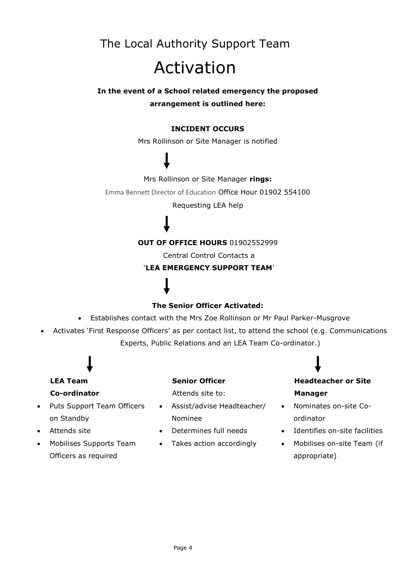## The Local Authority Support Team Activation

#### **In the event of a School related emergency the proposed arrangement is outlined here:**

#### **INCIDENT OCCURS**

Mrs Rollinson or Site Manager is notified

#### Mrs Rollinson or Site Manager **rings:**

Emma Bennett Director of Education Office Hour 01902 554100

Requesting LEA help

#### **OUT OF OFFICE HOURS** 01902552999

Central Control Contacts a

#### '**LEA EMERGENCY SUPPORT TEAM**'

#### **The Senior Officer Activated:**

- Establishes contact with the Mrs Zoe Rollinson or Mr Paul Parker-Musgrove
- Activates 'First Response Officers' as per contact list, to attend the school (e.g. Communications

Experts, Public Relations and an LEA Team Co-ordinator.)

### **LEA Team Co-ordinator**

- Puts Support Team Officers on Standby
- Attends site
- Mobilises Supports Team Officers as required

#### **Senior Officer**

Attends site to:

- Assist/advise Headteacher/ Nominee
- Determines full needs
- Takes action accordingly

### **Headteacher or Site Manager**

- Nominates on-site Coordinator
- Identifies on-site facilities
- Mobilises on-site Team (if appropriate)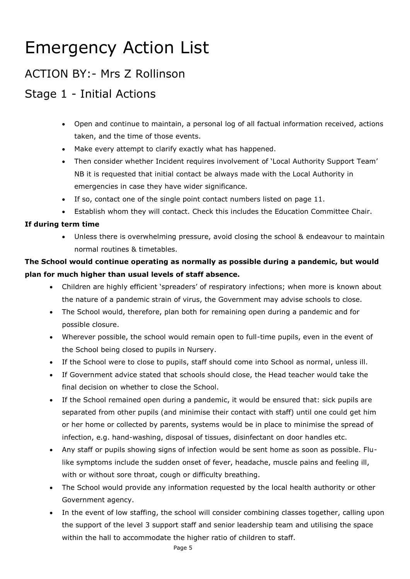## Emergency Action List

### ACTION BY:- Mrs Z Rollinson

## Stage 1 - Initial Actions

- Open and continue to maintain, a personal log of all factual information received, actions taken, and the time of those events.
- Make every attempt to clarify exactly what has happened.
- Then consider whether Incident requires involvement of 'Local Authority Support Team' NB it is requested that initial contact be always made with the Local Authority in emergencies in case they have wider significance.
- If so, contact one of the single point contact numbers listed on page 11.
- Establish whom they will contact. Check this includes the Education Committee Chair.

#### **If during term time**

 Unless there is overwhelming pressure, avoid closing the school & endeavour to maintain normal routines & timetables.

#### **The School would continue operating as normally as possible during a pandemic, but would plan for much higher than usual levels of staff absence.**

- Children are highly efficient 'spreaders' of respiratory infections; when more is known about the nature of a pandemic strain of virus, the Government may advise schools to close.
- The School would, therefore, plan both for remaining open during a pandemic and for possible closure.
- Wherever possible, the school would remain open to full-time pupils, even in the event of the School being closed to pupils in Nursery.
- If the School were to close to pupils, staff should come into School as normal, unless ill.
- If Government advice stated that schools should close, the Head teacher would take the final decision on whether to close the School.
- If the School remained open during a pandemic, it would be ensured that: sick pupils are separated from other pupils (and minimise their contact with staff) until one could get him or her home or collected by parents, systems would be in place to minimise the spread of infection, e.g. hand-washing, disposal of tissues, disinfectant on door handles etc.
- Any staff or pupils showing signs of infection would be sent home as soon as possible. Flulike symptoms include the sudden onset of fever, headache, muscle pains and feeling ill, with or without sore throat, cough or difficulty breathing.
- The School would provide any information requested by the local health authority or other Government agency.
- In the event of low staffing, the school will consider combining classes together, calling upon the support of the level 3 support staff and senior leadership team and utilising the space within the hall to accommodate the higher ratio of children to staff.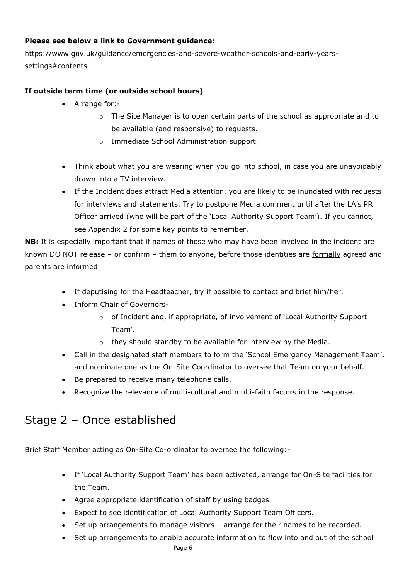#### **Please see below a link to Government guidance:**

https://www.gov.uk/guidance/emergencies-and-severe-weather-schools-and-early-yearssettings#contents

#### **If outside term time (or outside school hours)**

- Arrange for:
	- o The Site Manager is to open certain parts of the school as appropriate and to be available (and responsive) to requests.
	- o Immediate School Administration support.
- Think about what you are wearing when you go into school, in case you are unavoidably drawn into a TV interview.
- If the Incident does attract Media attention, you are likely to be inundated with requests for interviews and statements. Try to postpone Media comment until after the LA's PR Officer arrived (who will be part of the 'Local Authority Support Team'). If you cannot, see Appendix 2 for some key points to remember.

**NB:** It is especially important that if names of those who may have been involved in the incident are known DO NOT release – or confirm – them to anyone, before those identities are formally agreed and parents are informed.

- If deputising for the Headteacher, try if possible to contact and brief him/her.
- Inform Chair of Governors
	- o of Incident and, if appropriate, of involvement of 'Local Authority Support Team'.
	- o they should standby to be available for interview by the Media.
- Call in the designated staff members to form the 'School Emergency Management Team', and nominate one as the On-Site Coordinator to oversee that Team on your behalf.
- Be prepared to receive many telephone calls.
- Recognize the relevance of multi-cultural and multi-faith factors in the response.

### Stage 2 – Once established

Brief Staff Member acting as On-Site Co-ordinator to oversee the following:-

- If 'Local Authority Support Team' has been activated, arrange for On-Site facilities for the Team.
- Agree appropriate identification of staff by using badges
- Expect to see identification of Local Authority Support Team Officers.
- Set up arrangements to manage visitors arrange for their names to be recorded.
- Set up arrangements to enable accurate information to flow into and out of the school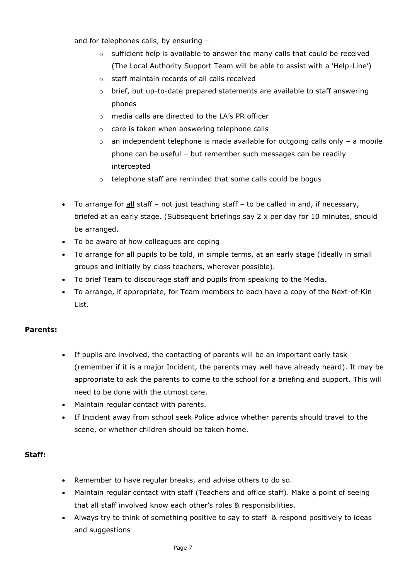and for telephones calls, by ensuring –

- $\circ$  sufficient help is available to answer the many calls that could be received (The Local Authority Support Team will be able to assist with a 'Help-Line')
- o staff maintain records of all calls received
- o brief, but up-to-date prepared statements are available to staff answering phones
- o media calls are directed to the LA's PR officer
- o care is taken when answering telephone calls
- $\circ$  an independent telephone is made available for outgoing calls only a mobile phone can be useful – but remember such messages can be readily intercepted
- o telephone staff are reminded that some calls could be bogus
- $\bullet$  To arrange for <u>all</u> staff not just teaching staff to be called in and, if necessary, briefed at an early stage. (Subsequent briefings say 2 x per day for 10 minutes, should be arranged.
- To be aware of how colleagues are coping
- To arrange for all pupils to be told, in simple terms, at an early stage (ideally in small groups and initially by class teachers, wherever possible).
- To brief Team to discourage staff and pupils from speaking to the Media.
- To arrange, if appropriate, for Team members to each have a copy of the Next-of-Kin List.

#### **Parents:**

- If pupils are involved, the contacting of parents will be an important early task (remember if it is a major Incident, the parents may well have already heard). It may be appropriate to ask the parents to come to the school for a briefing and support. This will need to be done with the utmost care.
- Maintain regular contact with parents.
- If Incident away from school seek Police advice whether parents should travel to the scene, or whether children should be taken home.

#### **Staff:**

- Remember to have regular breaks, and advise others to do so.
- Maintain regular contact with staff (Teachers and office staff). Make a point of seeing that all staff involved know each other's roles & responsibilities.
- Always try to think of something positive to say to staff & respond positively to ideas and suggestions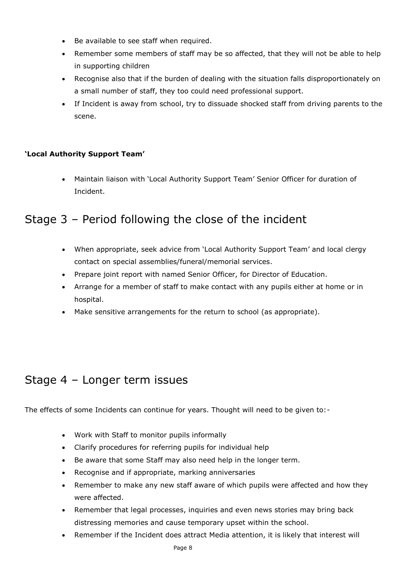- Be available to see staff when required.
- Remember some members of staff may be so affected, that they will not be able to help in supporting children
- Recognise also that if the burden of dealing with the situation falls disproportionately on a small number of staff, they too could need professional support.
- If Incident is away from school, try to dissuade shocked staff from driving parents to the scene.

#### **'Local Authority Support Team'**

 Maintain liaison with 'Local Authority Support Team' Senior Officer for duration of Incident.

### Stage 3 – Period following the close of the incident

- When appropriate, seek advice from 'Local Authority Support Team' and local clergy contact on special assemblies/funeral/memorial services.
- Prepare joint report with named Senior Officer, for Director of Education.
- Arrange for a member of staff to make contact with any pupils either at home or in hospital.
- Make sensitive arrangements for the return to school (as appropriate).

### Stage 4 – Longer term issues

The effects of some Incidents can continue for years. Thought will need to be given to:-

- Work with Staff to monitor pupils informally
- Clarify procedures for referring pupils for individual help
- Be aware that some Staff may also need help in the longer term.
- Recognise and if appropriate, marking anniversaries
- Remember to make any new staff aware of which pupils were affected and how they were affected.
- Remember that legal processes, inquiries and even news stories may bring back distressing memories and cause temporary upset within the school.
- Remember if the Incident does attract Media attention, it is likely that interest will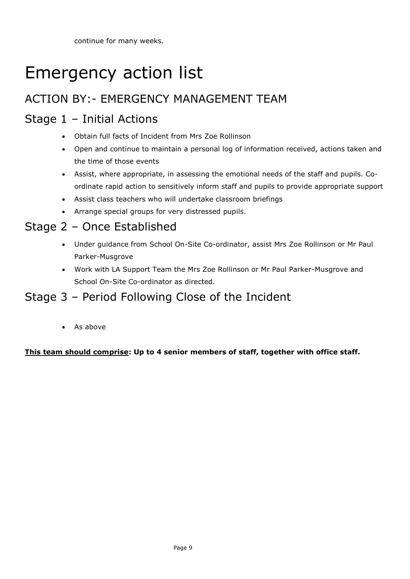continue for many weeks.

## Emergency action list

## ACTION BY:- EMERGENCY MANAGEMENT TEAM

## Stage 1 – Initial Actions

- Obtain full facts of Incident from Mrs Zoe Rollinson
- Open and continue to maintain a personal log of information received, actions taken and the time of those events
- Assist, where appropriate, in assessing the emotional needs of the staff and pupils. Coordinate rapid action to sensitively inform staff and pupils to provide appropriate support
- Assist class teachers who will undertake classroom briefings
- Arrange special groups for very distressed pupils.

## Stage 2 – Once Established

- Under guidance from School On-Site Co-ordinator, assist Mrs Zoe Rollinson or Mr Paul Parker-Musgrove
- Work with LA Support Team the Mrs Zoe Rollinson or Mr Paul Parker-Musgrove and School On-Site Co-ordinator as directed.

### Stage 3 – Period Following Close of the Incident

• As above

#### **This team should comprise: Up to 4 senior members of staff, together with office staff.**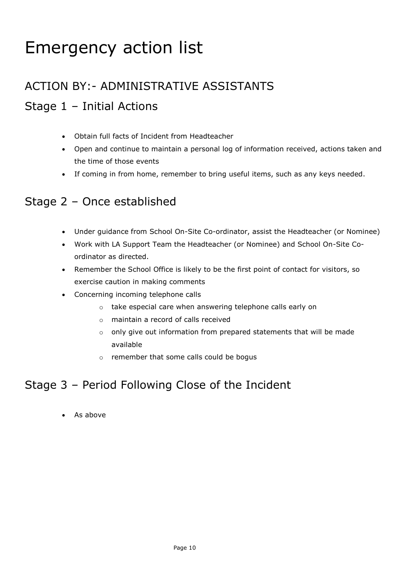## Emergency action list

## ACTION BY:- ADMINISTRATIVE ASSISTANTS Stage 1 – Initial Actions

#### Obtain full facts of Incident from Headteacher

- Open and continue to maintain a personal log of information received, actions taken and the time of those events
- If coming in from home, remember to bring useful items, such as any keys needed.

### Stage 2 – Once established

- Under guidance from School On-Site Co-ordinator, assist the Headteacher (or Nominee)
- Work with LA Support Team the Headteacher (or Nominee) and School On-Site Coordinator as directed.
- Remember the School Office is likely to be the first point of contact for visitors, so exercise caution in making comments
- Concerning incoming telephone calls
	- o take especial care when answering telephone calls early on
	- o maintain a record of calls received
	- o only give out information from prepared statements that will be made available
	- o remember that some calls could be bogus

### Stage 3 – Period Following Close of the Incident

• As above